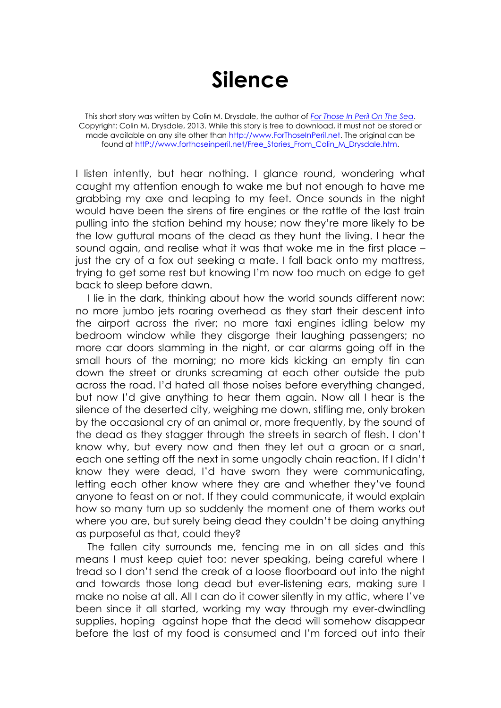## **Silence**

This short story was written by Colin M. Drysdale, the author of *[For Those In Peril On The Sea](http://www.forthoseinperil.net/)*. Copyright: Colin M. Drysdale, 2013. While this story is free to download, it must not be stored or made available on any site other than [http://www.ForThoseInPeril.net.](http://www.forthoseinperil.net/) The original can be found at http://www.forthoseinperil.net/Free\_Stories\_From\_Colin\_M\_Drysdale.htm.

I listen intently, but hear nothing. I glance round, wondering what caught my attention enough to wake me but not enough to have me grabbing my axe and leaping to my feet. Once sounds in the night would have been the sirens of fire engines or the rattle of the last train pulling into the station behind my house; now they're more likely to be the low guttural moans of the dead as they hunt the living. I hear the sound again, and realise what it was that woke me in the first place – just the cry of a fox out seeking a mate. I fall back onto my mattress, trying to get some rest but knowing I'm now too much on edge to get back to sleep before dawn.

I lie in the dark, thinking about how the world sounds different now: no more jumbo jets roaring overhead as they start their descent into the airport across the river; no more taxi engines idling below my bedroom window while they disgorge their laughing passengers; no more car doors slamming in the night, or car alarms going off in the small hours of the morning; no more kids kicking an empty tin can down the street or drunks screaming at each other outside the pub across the road. I'd hated all those noises before everything changed, but now I'd give anything to hear them again. Now all I hear is the silence of the deserted city, weighing me down, stifling me, only broken by the occasional cry of an animal or, more frequently, by the sound of the dead as they stagger through the streets in search of flesh. I don't know why, but every now and then they let out a groan or a snarl, each one setting off the next in some ungodly chain reaction. If I didn't know they were dead, I'd have sworn they were communicating, letting each other know where they are and whether they've found anyone to feast on or not. If they could communicate, it would explain how so many turn up so suddenly the moment one of them works out where you are, but surely being dead they couldn't be doing anything as purposeful as that, could they?

The fallen city surrounds me, fencing me in on all sides and this means I must keep quiet too: never speaking, being careful where I tread so I don't send the creak of a loose floorboard out into the night and towards those long dead but ever-listening ears, making sure I make no noise at all. All I can do it cower silently in my attic, where I've been since it all started, working my way through my ever-dwindling supplies, hoping against hope that the dead will somehow disappear before the last of my food is consumed and I'm forced out into their